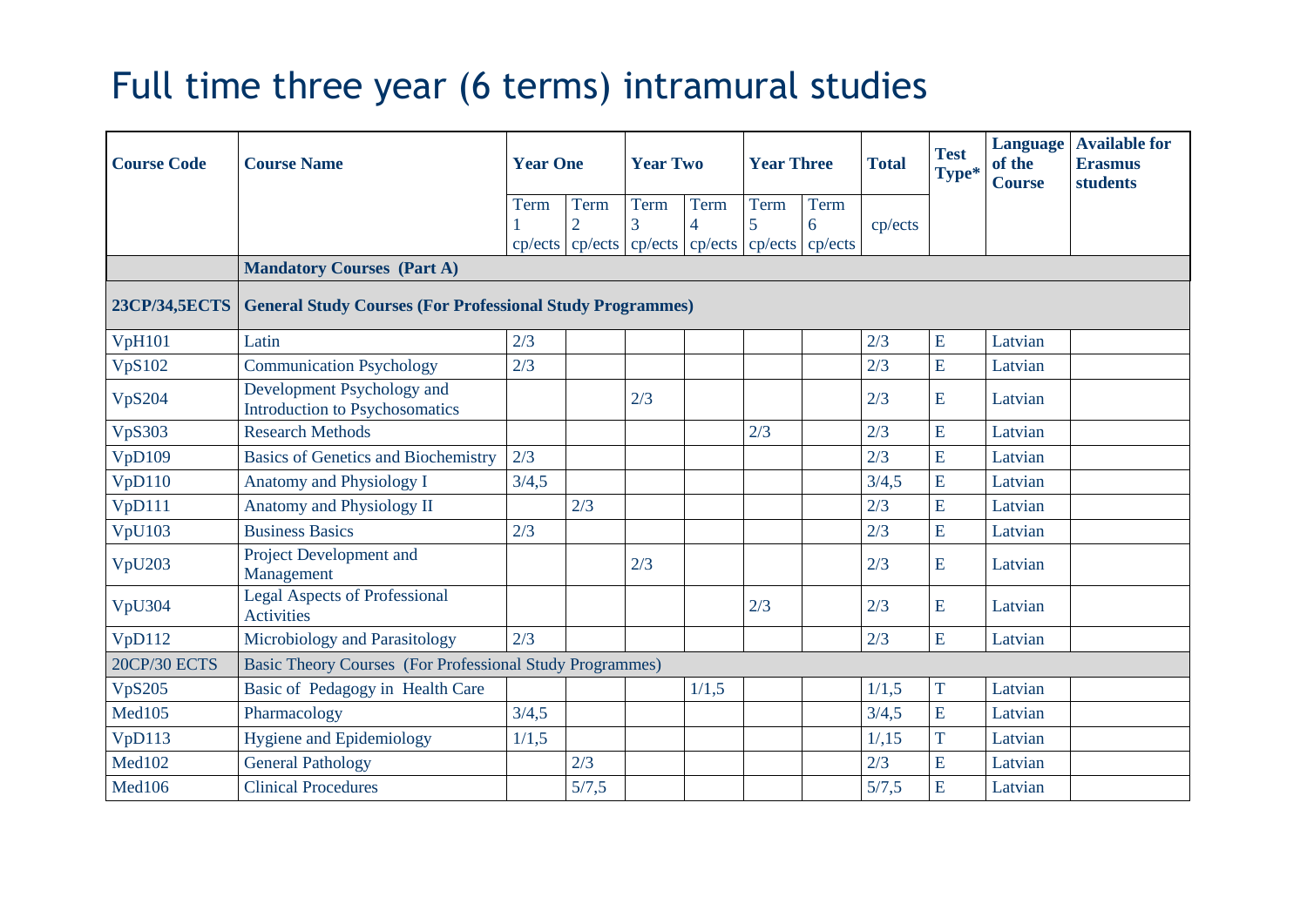## Full time three year (6 terms) intramural studies

| <b>Course Code</b>  | <b>Course Name</b>                                               | <b>Year One</b> |                        | <b>Year Two</b> |                        | <b>Year Three</b>                                                      |           | <b>Total</b> | <b>Test</b><br>Type* | Language<br>of the<br><b>Course</b> | <b>Available for</b><br><b>Erasmus</b><br>students |
|---------------------|------------------------------------------------------------------|-----------------|------------------------|-----------------|------------------------|------------------------------------------------------------------------|-----------|--------------|----------------------|-------------------------------------|----------------------------------------------------|
|                     |                                                                  | Term            | Term<br>$\overline{2}$ | Term<br>3       | Term<br>$\overline{4}$ | Term<br>5<br>cp/ects   cp/ects   cp/ects   cp/ects   cp/ects   cp/ects | Term<br>6 | cp/ects      |                      |                                     |                                                    |
|                     | <b>Mandatory Courses (Part A)</b>                                |                 |                        |                 |                        |                                                                        |           |              |                      |                                     |                                                    |
| 23CP/34,5ECTS       | <b>General Study Courses (For Professional Study Programmes)</b> |                 |                        |                 |                        |                                                                        |           |              |                      |                                     |                                                    |
| <b>VpH101</b>       | Latin                                                            | 2/3             |                        |                 |                        |                                                                        |           | 2/3          | E                    | Latvian                             |                                                    |
| <b>VpS102</b>       | <b>Communication Psychology</b>                                  | 2/3             |                        |                 |                        |                                                                        |           | 2/3          | E                    | Latvian                             |                                                    |
| <b>VpS204</b>       | Development Psychology and<br>Introduction to Psychosomatics     |                 |                        | 2/3             |                        |                                                                        |           | 2/3          | E                    | Latvian                             |                                                    |
| <b>VpS303</b>       | <b>Research Methods</b>                                          |                 |                        |                 |                        | 2/3                                                                    |           | 2/3          | E                    | Latvian                             |                                                    |
| VpD109              | <b>Basics of Genetics and Biochemistry</b>                       | 2/3             |                        |                 |                        |                                                                        |           | 2/3          | E                    | Latvian                             |                                                    |
| VpD110              | <b>Anatomy and Physiology I</b>                                  | 3/4,5           |                        |                 |                        |                                                                        |           | 3/4,5        | E                    | Latvian                             |                                                    |
| VpD111              | Anatomy and Physiology II                                        |                 | 2/3                    |                 |                        |                                                                        |           | 2/3          | E                    | Latvian                             |                                                    |
| <b>VpU103</b>       | <b>Business Basics</b>                                           | 2/3             |                        |                 |                        |                                                                        |           | 2/3          | E                    | Latvian                             |                                                    |
| VpU203              | Project Development and<br>Management                            |                 |                        | 2/3             |                        |                                                                        |           | 2/3          | E                    | Latvian                             |                                                    |
| VpU304              | <b>Legal Aspects of Professional</b><br><b>Activities</b>        |                 |                        |                 |                        | 2/3                                                                    |           | 2/3          | E                    | Latvian                             |                                                    |
| VpD112              | Microbiology and Parasitology                                    | 2/3             |                        |                 |                        |                                                                        |           | 2/3          | E                    | Latvian                             |                                                    |
| <b>20CP/30 ECTS</b> | Basic Theory Courses (For Professional Study Programmes)         |                 |                        |                 |                        |                                                                        |           |              |                      |                                     |                                                    |
| <b>VpS205</b>       | Basic of Pedagogy in Health Care                                 |                 |                        |                 | 1/1,5                  |                                                                        |           | 1/1,5        | T                    | Latvian                             |                                                    |
| Med105              | Pharmacology                                                     | 3/4,5           |                        |                 |                        |                                                                        |           | 3/4,5        | E                    | Latvian                             |                                                    |
| VpD113              | <b>Hygiene and Epidemiology</b>                                  | 1/1,5           |                        |                 |                        |                                                                        |           | 1/15         | T                    | Latvian                             |                                                    |
| Med102              | <b>General Pathology</b>                                         |                 | 2/3                    |                 |                        |                                                                        |           | 2/3          | E                    | Latvian                             |                                                    |
| Med106              | <b>Clinical Procedures</b>                                       |                 | 5/7,5                  |                 |                        |                                                                        |           | 5/7,5        | E                    | Latvian                             |                                                    |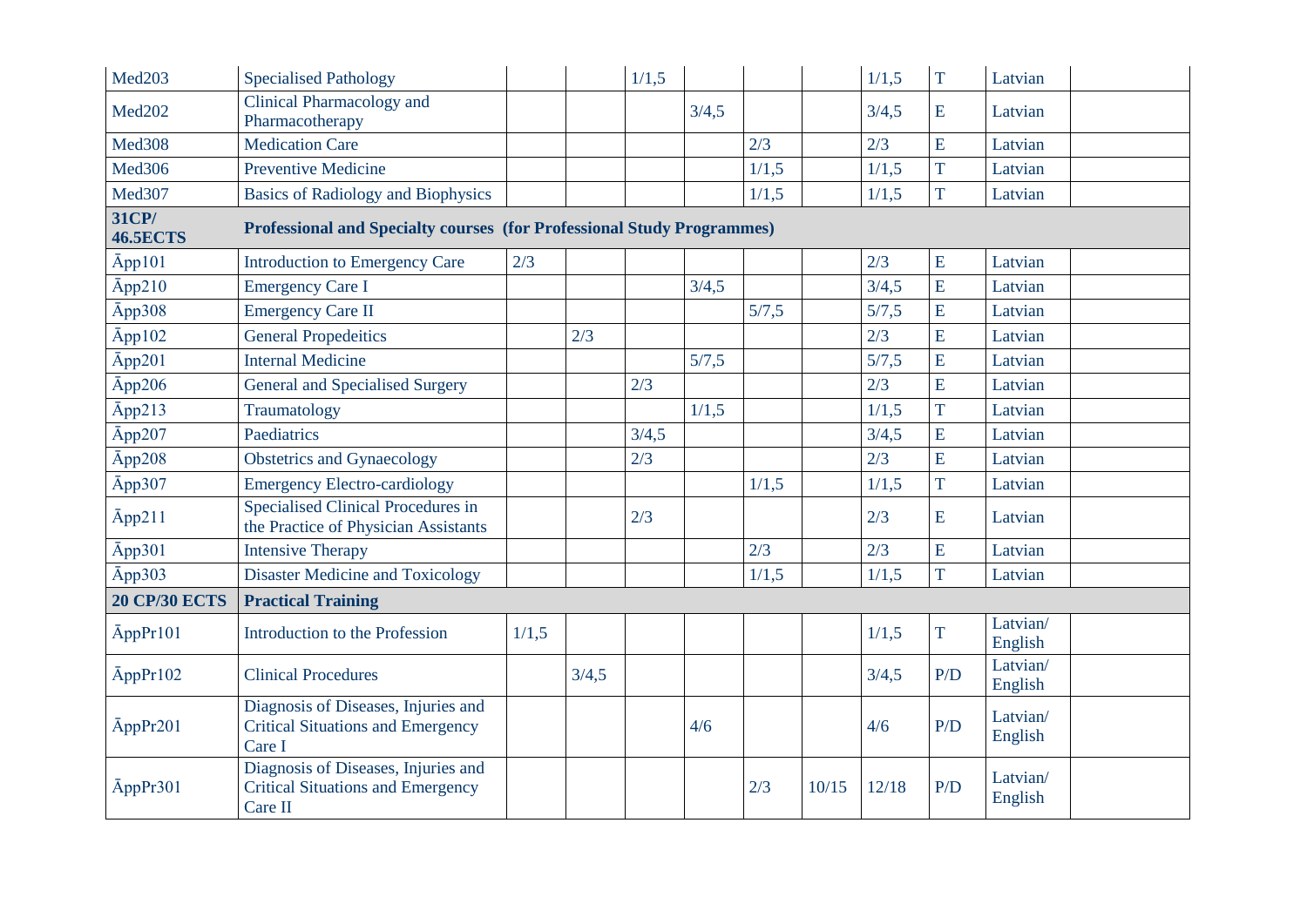| Med <sub>203</sub>       | <b>Specialised Pathology</b>                                                               |       |       | 1/1,5 |       |       |       | 1/1,5 | $\overline{T}$ | Latvian             |  |
|--------------------------|--------------------------------------------------------------------------------------------|-------|-------|-------|-------|-------|-------|-------|----------------|---------------------|--|
| <b>Med202</b>            | Clinical Pharmacology and<br>Pharmacotherapy                                               |       |       |       | 3/4,5 |       |       | 3/4,5 | E              | Latvian             |  |
| <b>Med308</b>            | <b>Medication Care</b>                                                                     |       |       |       |       | 2/3   |       | 2/3   | E              | Latvian             |  |
| Med <sub>306</sub>       | <b>Preventive Medicine</b>                                                                 |       |       |       |       | 1/1,5 |       | 1/1,5 | T              | Latvian             |  |
| Med307                   | <b>Basics of Radiology and Biophysics</b>                                                  |       |       |       |       | 1/1,5 |       | 1/1,5 | T              | Latvian             |  |
| 31CP/<br><b>46.5ECTS</b> | <b>Professional and Specialty courses (for Professional Study Programmes)</b>              |       |       |       |       |       |       |       |                |                     |  |
| Āpp101                   | Introduction to Emergency Care                                                             | 2/3   |       |       |       |       |       | 2/3   | E              | Latvian             |  |
| $\bar{A}$ pp210          | <b>Emergency Care I</b>                                                                    |       |       |       | 3/4,5 |       |       | 3/4,5 | $\overline{E}$ | Latvian             |  |
| Āpp308                   | <b>Emergency Care II</b>                                                                   |       |       |       |       | 5/7,5 |       | 5/7,5 | E              | Latvian             |  |
| $\bar{A}$ pp102          | <b>General Propedeitics</b>                                                                |       | 2/3   |       |       |       |       | 2/3   | E              | Latvian             |  |
| Āpp201                   | <b>Internal Medicine</b>                                                                   |       |       |       | 5/7,5 |       |       | 5/7,5 | E              | Latvian             |  |
| Āpp206                   | General and Specialised Surgery                                                            |       |       | 2/3   |       |       |       | 2/3   | E              | Latvian             |  |
| $\bar{A}$ pp213          | Traumatology                                                                               |       |       |       | 1/1,5 |       |       | 1/1,5 | T              | Latvian             |  |
| Āpp207                   | Paediatrics                                                                                |       |       | 3/4,5 |       |       |       | 3/4,5 | E              | Latvian             |  |
| $\bar{A}$ pp208          | <b>Obstetrics and Gynaecology</b>                                                          |       |       | 2/3   |       |       |       | 2/3   | $\overline{E}$ | Latvian             |  |
| Āpp307                   | <b>Emergency Electro-cardiology</b>                                                        |       |       |       |       | 1/1,5 |       | 1/1,5 | T              | Latvian             |  |
| App211                   | <b>Specialised Clinical Procedures in</b><br>the Practice of Physician Assistants          |       |       | 2/3   |       |       |       | 2/3   | E              | Latvian             |  |
| App301                   | <b>Intensive Therapy</b>                                                                   |       |       |       |       | 2/3   |       | 2/3   | E              | Latvian             |  |
| $\bar{A}$ pp303          | <b>Disaster Medicine and Toxicology</b>                                                    |       |       |       |       | 1/1,5 |       | 1/1,5 | T              | Latvian             |  |
| <b>20 CP/30 ECTS</b>     | <b>Practical Training</b>                                                                  |       |       |       |       |       |       |       |                |                     |  |
| AppPr101                 | Introduction to the Profession                                                             | 1/1,5 |       |       |       |       |       | 1/1,5 | T              | Latvian/<br>English |  |
| $\bar{A}$ pp $Pr102$     | <b>Clinical Procedures</b>                                                                 |       | 3/4,5 |       |       |       |       | 3/4,5 | P/D            | Latvian/<br>English |  |
| AppPr201                 | Diagnosis of Diseases, Injuries and<br><b>Critical Situations and Emergency</b><br>Care I  |       |       |       | 4/6   |       |       | 4/6   | P/D            | Latvian/<br>English |  |
| AppPr301                 | Diagnosis of Diseases, Injuries and<br><b>Critical Situations and Emergency</b><br>Care II |       |       |       |       | 2/3   | 10/15 | 12/18 | P/D            | Latvian/<br>English |  |